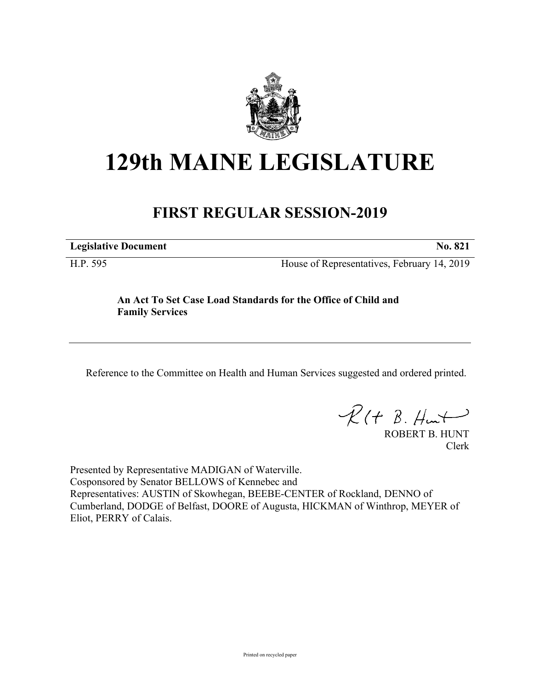

## **129th MAINE LEGISLATURE**

## **FIRST REGULAR SESSION-2019**

**Legislative Document No. 821**

H.P. 595 House of Representatives, February 14, 2019

## **An Act To Set Case Load Standards for the Office of Child and Family Services**

Reference to the Committee on Health and Human Services suggested and ordered printed.

 $R(t B. Hmt)$ 

ROBERT B. HUNT Clerk

Presented by Representative MADIGAN of Waterville. Cosponsored by Senator BELLOWS of Kennebec and Representatives: AUSTIN of Skowhegan, BEEBE-CENTER of Rockland, DENNO of Cumberland, DODGE of Belfast, DOORE of Augusta, HICKMAN of Winthrop, MEYER of Eliot, PERRY of Calais.